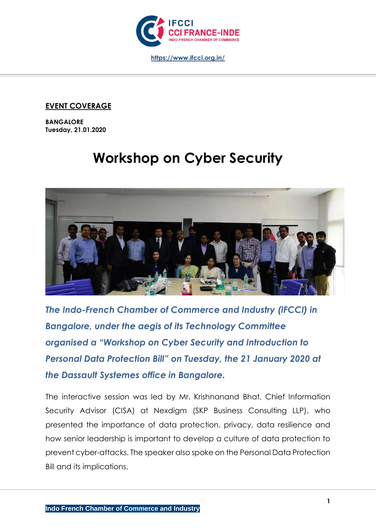

## **EVENT COVERAGE**

**BANGALORE Tuesday, 21.01.2020**

# **Workshop on Cyber Security**



*The Indo-French Chamber of Commerce and Industry (IFCCI) in Bangalore, under the aegis of its Technology Committee organised a "Workshop on Cyber Security and Introduction to Personal Data Protection Bill" on Tuesday, the 21 January 2020 at the Dassault Systemes office in Bangalore.*

The interactive session was led by Mr. Krishnanand Bhat, Chief Information Security Advisor (CISA) at Nexdigm (SKP Business Consulting LLP), who presented the importance of data protection, privacy, data resilience and how senior leadership is important to develop a culture of data protection to prevent cyber-attacks. The speaker also spoke on the Personal Data Protection Bill and its implications.